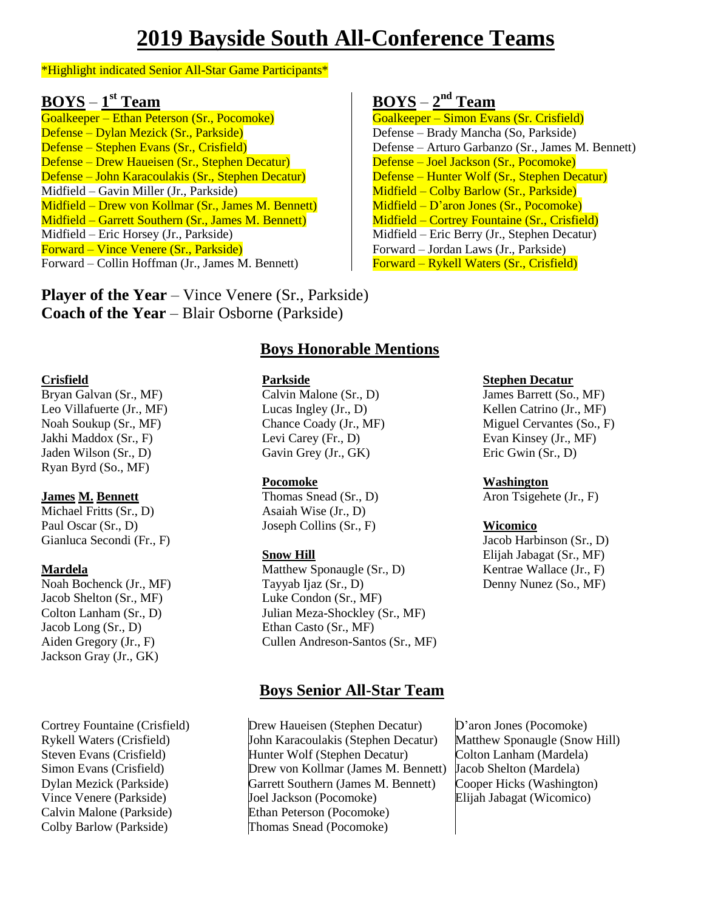# **2019 Bayside South All-Conference Teams**

#### \*Highlight indicated Senior All-Star Game Participants\*

### **BOYS** – **1 st Team**

Goalkeeper – Ethan Peterson (Sr., Pocomoke) Defense – Dylan Mezick (Sr., Parkside) Defense – Stephen Evans (Sr., Crisfield) Defense – Drew Haueisen (Sr., Stephen Decatur) Defense – John Karacoulakis (Sr., Stephen Decatur) Midfield – Gavin Miller (Jr., Parkside) Midfield – Drew von Kollmar (Sr., James M. Bennett) Midfield – Garrett Southern (Sr., James M. Bennett) Midfield – Eric Horsey (Jr., Parkside) Forward – Vince Venere (Sr., Parkside) Forward – Collin Hoffman (Jr., James M. Bennett)

**Player of the Year** – Vince Venere (Sr., Parkside) **Coach of the Year** – Blair Osborne (Parkside)

### **BOYS** – **2 nd Team**

Goalkeeper – Simon Evans (Sr. Crisfield) Defense – Brady Mancha (So, Parkside) Defense – Arturo Garbanzo (Sr., James M. Bennett) Defense – Joel Jackson (Sr., Pocomoke) Defense – Hunter Wolf (Sr., Stephen Decatur) Midfield – Colby Barlow (Sr., Parkside) Midfield – D'aron Jones (Sr., Pocomoke) Midfield – Cortrey Fountaine (Sr., Crisfield) Midfield – Eric Berry (Jr., Stephen Decatur) Forward – Jordan Laws (Jr., Parkside) Forward – Rykell Waters (Sr., Crisfield)

#### **Crisfield**

Bryan Galvan (Sr., MF) Leo Villafuerte (Jr., MF) Noah Soukup (Sr., MF) Jakhi Maddox (Sr., F) Jaden Wilson (Sr., D) Ryan Byrd (So., MF)

### **James M. Bennett**

Michael Fritts (Sr., D) Paul Oscar (Sr., D) Gianluca Secondi (Fr., F)

#### **Mardela**

Noah Bochenck (Jr., MF) Jacob Shelton (Sr., MF) Colton Lanham (Sr., D) Jacob Long (Sr., D) Aiden Gregory (Jr., F) Jackson Gray (Jr., GK)

Cortrey Fountaine (Crisfield) Rykell Waters (Crisfield) Steven Evans (Crisfield) Simon Evans (Crisfield) Dylan Mezick (Parkside) Vince Venere (Parkside) Calvin Malone (Parkside) Colby Barlow (Parkside)

### **Boys Honorable Mentions**

#### **Parkside**

Calvin Malone (Sr., D) Lucas Ingley (Jr., D) Chance Coady (Jr., MF) Levi Carey (Fr., D) Gavin Grey (Jr., GK)

### **Pocomoke**

Thomas Snead (Sr., D) Asaiah Wise (Jr., D) Joseph Collins (Sr., F)

#### **Snow Hill**

Matthew Sponaugle (Sr., D) Tayyab Ijaz (Sr., D) Luke Condon (Sr., MF) Julian Meza-Shockley (Sr., MF) Ethan Casto (Sr., MF) Cullen Andreson-Santos (Sr., MF)

### **Boys Senior All-Star Team**

Drew Haueisen (Stephen Decatur) John Karacoulakis (Stephen Decatur) Hunter Wolf (Stephen Decatur) Drew von Kollmar (James M. Bennett) Garrett Southern (James M. Bennett) Joel Jackson (Pocomoke) Ethan Peterson (Pocomoke) Thomas Snead (Pocomoke)

#### **Stephen Decatur**

James Barrett (So., MF) Kellen Catrino (Jr., MF) Miguel Cervantes (So., F) Evan Kinsey (Jr., MF) Eric Gwin (Sr., D)

## **Washington**

Aron Tsigehete (Jr., F)

### **Wicomico**

Jacob Harbinson (Sr., D) Elijah Jabagat (Sr., MF) Kentrae Wallace (Jr., F) Denny Nunez (So., MF)

D'aron Jones (Pocomoke) Matthew Sponaugle (Snow Hill) Colton Lanham (Mardela) Jacob Shelton (Mardela) Cooper Hicks (Washington) Elijah Jabagat (Wicomico)